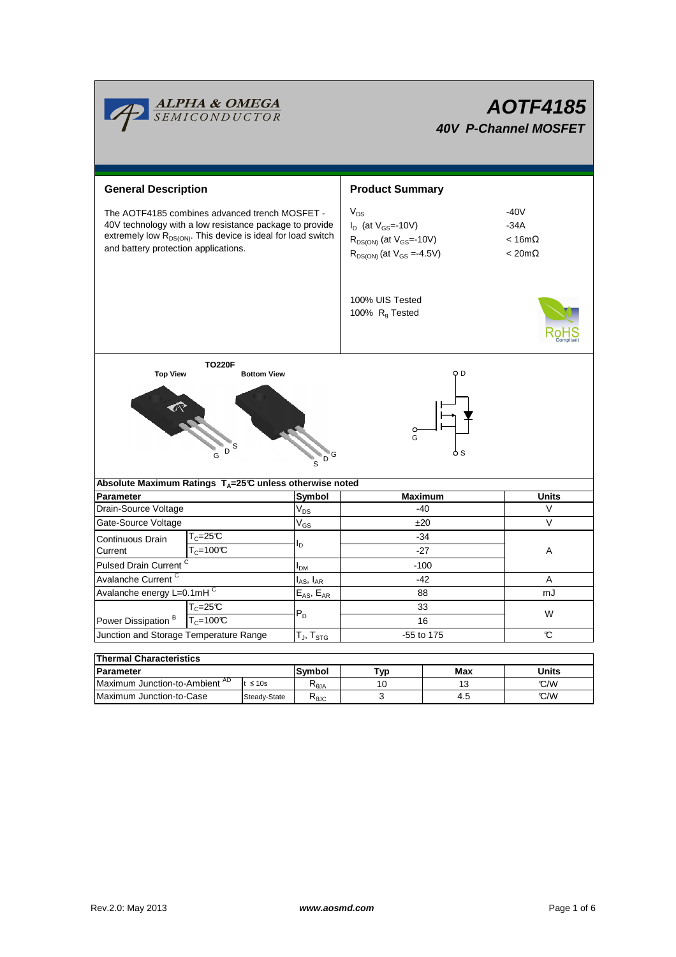

# **AOTF4185 40V P-Channel MOSFET**

| <b>General Description</b>                                                                                                                                                                                                    |              | <b>Product Summary</b>    |                                                                                                                  |                                                            |                      |  |  |  |  |
|-------------------------------------------------------------------------------------------------------------------------------------------------------------------------------------------------------------------------------|--------------|---------------------------|------------------------------------------------------------------------------------------------------------------|------------------------------------------------------------|----------------------|--|--|--|--|
| The AOTF4185 combines advanced trench MOSFET -<br>40V technology with a low resistance package to provide<br>extremely low R <sub>DS(ON)</sub> . This device is ideal for load switch<br>and battery protection applications. |              |                           | $V_{DS}$<br>$I_D$ (at $V_{GS}$ =-10V)<br>$R_{DS(ON)}$ (at $V_{GS}$ =-10V)<br>$R_{DS(ON)}$ (at $V_{GS} = -4.5V$ ) | $-40V$<br>$-34A$<br>$< 16m\Omega$<br>$< 20 \text{m}\Omega$ |                      |  |  |  |  |
|                                                                                                                                                                                                                               |              |                           | 100% UIS Tested<br>100% R <sub>q</sub> Tested                                                                    |                                                            |                      |  |  |  |  |
| <b>TO220F</b><br>o D<br><b>Top View</b><br><b>Bottom View</b>                                                                                                                                                                 |              |                           |                                                                                                                  |                                                            |                      |  |  |  |  |
| G<br>"D<br>$\overline{D}$<br>Absolute Maximum Ratings $T_A = 25^\circ \text{C}$ unless otherwise noted                                                                                                                        |              |                           |                                                                                                                  |                                                            |                      |  |  |  |  |
| <b>Parameter</b>                                                                                                                                                                                                              |              | Symbol                    | <b>Maximum</b>                                                                                                   |                                                            |                      |  |  |  |  |
| Drain-Source Voltage                                                                                                                                                                                                          |              |                           |                                                                                                                  |                                                            | <b>Units</b>         |  |  |  |  |
|                                                                                                                                                                                                                               |              | $V_{DS}$                  | $-40$                                                                                                            |                                                            | $\vee$               |  |  |  |  |
| Gate-Source Voltage                                                                                                                                                                                                           |              |                           | ±20                                                                                                              |                                                            | V                    |  |  |  |  |
| $T_c = 25C$                                                                                                                                                                                                                   |              | $V_{GS}$                  | $-34$                                                                                                            |                                                            |                      |  |  |  |  |
| Continuous Drain<br>$T_c = 100C$<br>Current                                                                                                                                                                                   |              | ı,                        | $-27$                                                                                                            |                                                            | Α                    |  |  |  |  |
|                                                                                                                                                                                                                               |              |                           | $-100$                                                                                                           |                                                            |                      |  |  |  |  |
| Pulsed Drain Current <sup>C</sup><br>Avalanche Current <sup>C</sup>                                                                                                                                                           |              | I <sub>DM</sub>           | $-42$                                                                                                            |                                                            | Α                    |  |  |  |  |
|                                                                                                                                                                                                                               |              | $I_{AS}$ , $I_{AR}$       | 88                                                                                                               |                                                            | mJ                   |  |  |  |  |
| Avalanche energy L=0.1mHC                                                                                                                                                                                                     |              | $E_{AS}$ , $E_{AR}$       | 33                                                                                                               |                                                            |                      |  |  |  |  |
| $T_c = 25C$                                                                                                                                                                                                                   |              | $P_D$                     | 16                                                                                                               |                                                            | W                    |  |  |  |  |
| Power Dissipation <sup>B</sup><br>$T_c = 100C$<br>Junction and Storage Temperature Range                                                                                                                                      |              | $T_J$ , $T_{STG}$         | -55 to 175                                                                                                       |                                                            | $\mathbf c$          |  |  |  |  |
|                                                                                                                                                                                                                               |              |                           |                                                                                                                  |                                                            |                      |  |  |  |  |
| <b>Thermal Characteristics</b>                                                                                                                                                                                                |              |                           |                                                                                                                  |                                                            |                      |  |  |  |  |
| <b>Parameter</b><br>Maximum Junction-to-Ambient AD                                                                                                                                                                            | $t \leq 10s$ | Symbol<br>$R_{\theta JA}$ | Typ<br>10                                                                                                        | Max<br>13                                                  | <b>Units</b><br>°C/W |  |  |  |  |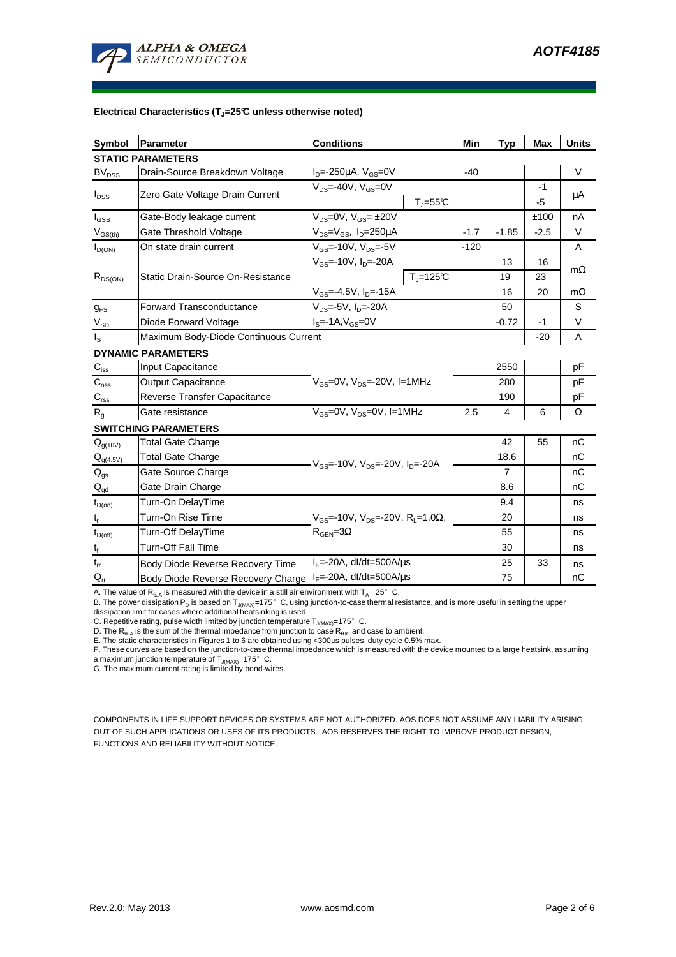

#### **Electrical Characteristics (TJ=25°C unless otherwise noted)**

| <b>Symbol</b>               | Parameter                                | <b>Conditions</b>                                                                                 |                              | Min    | Typ            | <b>Max</b> | <b>Units</b> |  |  |  |
|-----------------------------|------------------------------------------|---------------------------------------------------------------------------------------------------|------------------------------|--------|----------------|------------|--------------|--|--|--|
| <b>STATIC PARAMETERS</b>    |                                          |                                                                                                   |                              |        |                |            |              |  |  |  |
| <b>BV</b> <sub>DSS</sub>    | Drain-Source Breakdown Voltage           | $I_{D} = -250 \mu A$ , $V_{GS} = 0V$                                                              |                              | -40    |                |            | $\vee$       |  |  |  |
| $I_{DSS}$                   | Zero Gate Voltage Drain Current          | $V_{DS}$ =-40V, $V_{GS}$ =0V                                                                      |                              |        |                | -1         |              |  |  |  |
|                             |                                          |                                                                                                   | $T_{\text{J}} = 55^{\circ}C$ |        |                | $-5$       | μA           |  |  |  |
| $I_{\rm GSS}$               | Gate-Body leakage current                | $V_{DS} = 0V$ , $V_{GS} = \pm 20V$                                                                |                              |        |                | ±100       | nA           |  |  |  |
| $V_{GS(th)}$                | Gate Threshold Voltage                   | $V_{DS} = V_{GS}$ , $I_D = 250 \mu A$                                                             |                              | $-1.7$ | $-1.85$        | $-2.5$     | $\vee$       |  |  |  |
| $I_{D(ON)}$                 | On state drain current                   | $V_{GS}$ =-10V, $V_{DS}$ =-5V                                                                     |                              | $-120$ |                |            | A            |  |  |  |
| $R_{DS(ON)}$                | <b>Static Drain-Source On-Resistance</b> | V <sub>GS</sub> =-10V, I <sub>D</sub> =-20A                                                       |                              |        | 13             | 16         | $m\Omega$    |  |  |  |
|                             |                                          |                                                                                                   | $T_i = 125C$                 |        | 19             | 23         |              |  |  |  |
|                             |                                          | $V_{GS} = -4.5V$ , $I_D = -15A$                                                                   |                              |        | 16             | 20         | $m\Omega$    |  |  |  |
| $g_{FS}$                    | <b>Forward Transconductance</b>          | $V_{DS}$ =-5V, I <sub>D</sub> =-20A                                                               |                              |        | 50             |            | S            |  |  |  |
| $V_{SD}$                    | Diode Forward Voltage                    | $Is=-1A, VGS=0V$                                                                                  |                              |        | $-0.72$        | $-1$       | V            |  |  |  |
| Is                          | Maximum Body-Diode Continuous Current    |                                                                                                   |                              |        |                | $-20$      | A            |  |  |  |
|                             | <b>DYNAMIC PARAMETERS</b>                |                                                                                                   |                              |        |                |            |              |  |  |  |
| $C_{\text{iss}}$            | <b>Input Capacitance</b>                 | $V_{GS}$ =0V, $V_{DS}$ =-20V, f=1MHz                                                              |                              |        | 2550           |            | pF           |  |  |  |
| $C_{\rm oss}$               | <b>Output Capacitance</b>                |                                                                                                   |                              |        | 280            |            | pF           |  |  |  |
| $C_{\rm rss}$               | Reverse Transfer Capacitance             |                                                                                                   |                              |        | 190            |            | pF           |  |  |  |
| $R_{g}$                     | Gate resistance                          | $V_{GS}$ =0V, $V_{DS}$ =0V, f=1MHz                                                                |                              | 2.5    | 4              | 6          | Ω            |  |  |  |
|                             | <b>SWITCHING PARAMETERS</b>              |                                                                                                   |                              |        |                |            |              |  |  |  |
| $Q_{g(10V)}$                | <b>Total Gate Charge</b>                 | $V_{GS}$ =-10V, $V_{DS}$ =-20V, $I_{D}$ =-20A                                                     |                              |        | 42             | 55         | nC           |  |  |  |
| $Q_{g(4.5V)}$               | <b>Total Gate Charge</b>                 |                                                                                                   |                              |        | 18.6           |            | nC           |  |  |  |
| $Q_{gs}$                    | Gate Source Charge                       |                                                                                                   |                              |        | $\overline{7}$ |            | nC           |  |  |  |
| $\mathsf{Q}_{\mathsf{gd}}$  | Gate Drain Charge                        |                                                                                                   |                              |        | 8.6            |            | nC           |  |  |  |
| $t_{D(on)}$                 | Turn-On DelayTime                        | $V_{\text{GS}}$ =-10V, $V_{\text{DS}}$ =-20V, R <sub>i</sub> =1.0Ω,<br>$R_{\text{GEN}} = 3\Omega$ |                              |        | 9.4            |            | ns           |  |  |  |
| $t_{\sf r}$                 | Turn-On Rise Time                        |                                                                                                   |                              |        | 20             |            | ns           |  |  |  |
| $t_{D(off)}$                | Turn-Off DelayTime                       |                                                                                                   |                              |        | 55             |            | ns           |  |  |  |
| $\mathfrak{t}_{\mathsf{f}}$ | <b>Turn-Off Fall Time</b>                |                                                                                                   |                              |        | 30             |            | ns           |  |  |  |
| $\mathfrak{t}_{\text{rr}}$  | Body Diode Reverse Recovery Time         | $I_F$ =-20A, dl/dt=500A/ $\mu$ s                                                                  |                              |        | 25             | 33         | ns           |  |  |  |
| $Q_{rr}$                    | Body Diode Reverse Recovery Charge       | $I_F$ =-20A, dl/dt=500A/ $\mu$ s                                                                  |                              |        | 75             |            | nC           |  |  |  |

A. The value of  $R_{\theta JA}$  is measured with the device in a still air environment with  $T_A = 25^\circ$  C.

B. The power dissipation P<sub>D</sub> is based on T<sub>J(MAX)</sub>=175°C, using junction-to-case thermal resistance, and is more useful in setting the upper dissipation limit for cases where additional heatsinking is used.

C. Repetitive rating, pulse width limited by junction temperature  $T_{J(MAX)}$ =175°C.

D. The  $R_{\text{BJA}}$  is the sum of the thermal impedance from junction to case  $R_{\text{BLG}}$  and case to ambient.

E. The static characteristics in Figures 1 to 6 are obtained using <300µs pulses, duty cycle 0.5% max.

F. These curves are based on the junction-to-case thermal impedance which is measured with the device mounted to a large heatsink, assuming a maximum junction temperature of  $T_{J(MAX)}$ =175° C.

G. The maximum current rating is limited by bond-wires.

COMPONENTS IN LIFE SUPPORT DEVICES OR SYSTEMS ARE NOT AUTHORIZED. AOS DOES NOT ASSUME ANY LIABILITY ARISING OUT OF SUCH APPLICATIONS OR USES OF ITS PRODUCTS. AOS RESERVES THE RIGHT TO IMPROVE PRODUCT DESIGN, FUNCTIONS AND RELIABILITY WITHOUT NOTICE.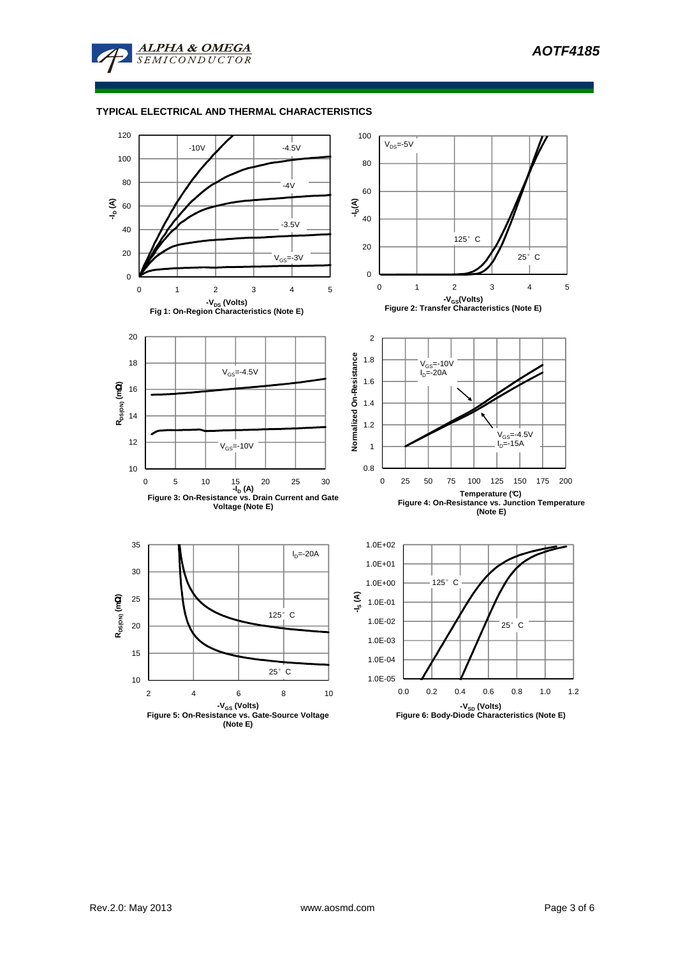

# **TYPICAL ELECTRICAL AND THERMAL CHARACTERISTICS**

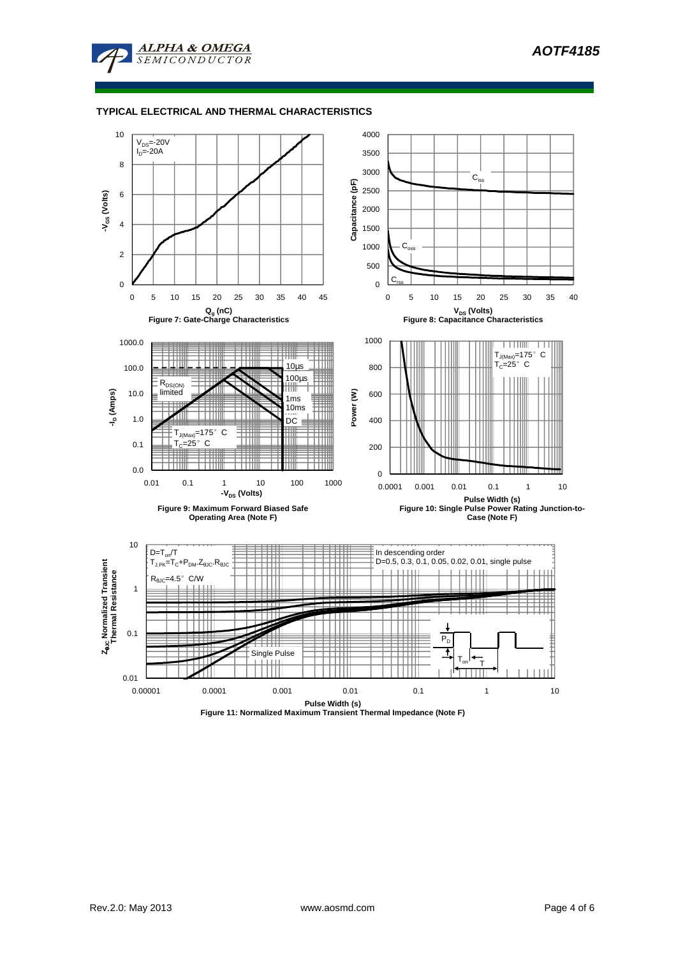

# **TYPICAL ELECTRICAL AND THERMAL CHARACTERISTICS**



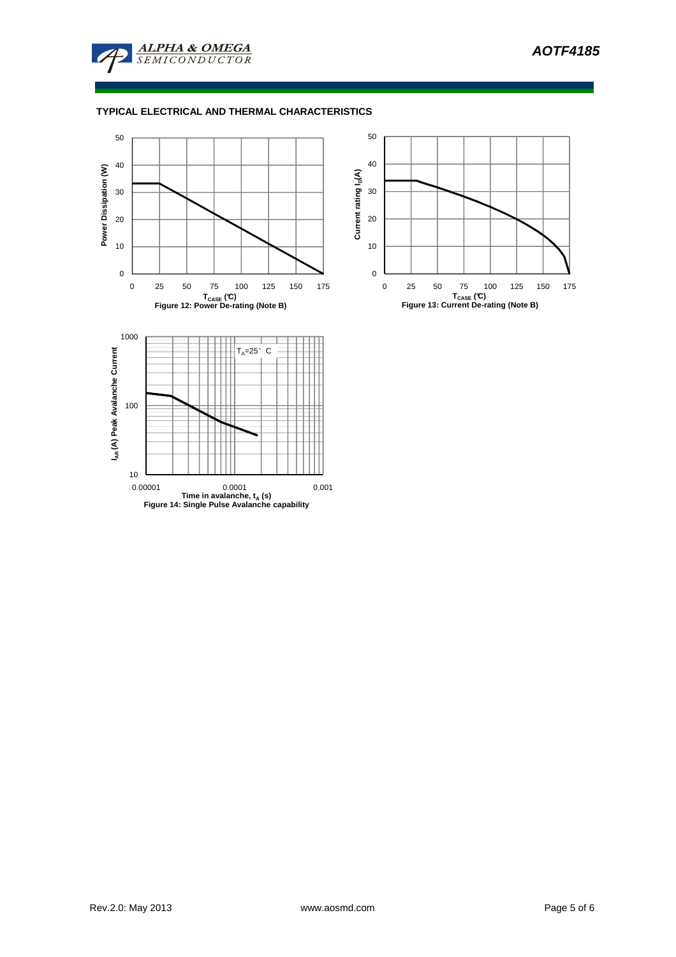

# **TYPICAL ELECTRICAL AND THERMAL CHARACTERISTICS**



0.00001 0.0001 0.001 **Time in avalanche, t<sup>A</sup> (s) Figure 14: Single Pulse Avalanche capability**



10